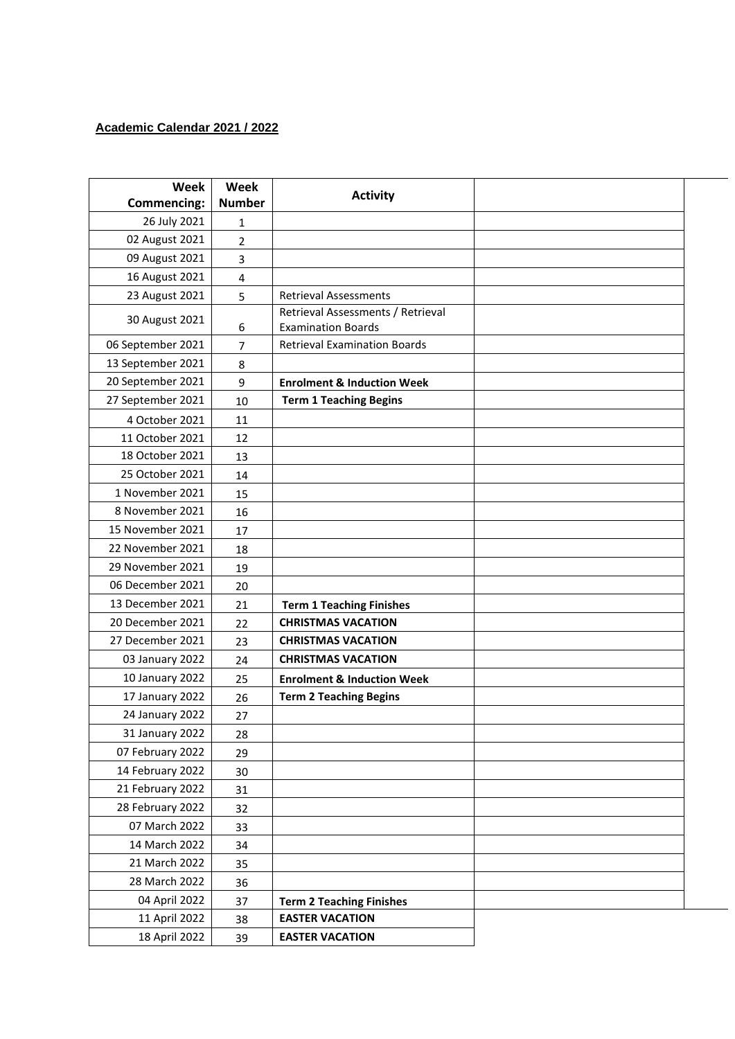## **Academic Calendar 2021 / 2022**

| Week               | <b>Week</b>   | <b>Activity</b>                                                |  |
|--------------------|---------------|----------------------------------------------------------------|--|
| <b>Commencing:</b> | <b>Number</b> |                                                                |  |
| 26 July 2021       | 1             |                                                                |  |
| 02 August 2021     | 2             |                                                                |  |
| 09 August 2021     | 3             |                                                                |  |
| 16 August 2021     | 4             |                                                                |  |
| 23 August 2021     | 5             | <b>Retrieval Assessments</b>                                   |  |
| 30 August 2021     | 6             | Retrieval Assessments / Retrieval<br><b>Examination Boards</b> |  |
| 06 September 2021  | 7             | <b>Retrieval Examination Boards</b>                            |  |
| 13 September 2021  | 8             |                                                                |  |
| 20 September 2021  | 9             | <b>Enrolment &amp; Induction Week</b>                          |  |
| 27 September 2021  | 10            | <b>Term 1 Teaching Begins</b>                                  |  |
| 4 October 2021     | 11            |                                                                |  |
| 11 October 2021    | 12            |                                                                |  |
| 18 October 2021    | 13            |                                                                |  |
| 25 October 2021    | 14            |                                                                |  |
| 1 November 2021    | 15            |                                                                |  |
| 8 November 2021    | 16            |                                                                |  |
| 15 November 2021   | 17            |                                                                |  |
| 22 November 2021   | 18            |                                                                |  |
| 29 November 2021   | 19            |                                                                |  |
| 06 December 2021   | 20            |                                                                |  |
| 13 December 2021   | 21            | <b>Term 1 Teaching Finishes</b>                                |  |
| 20 December 2021   | 22            | <b>CHRISTMAS VACATION</b>                                      |  |
| 27 December 2021   | 23            | <b>CHRISTMAS VACATION</b>                                      |  |
| 03 January 2022    | 24            | <b>CHRISTMAS VACATION</b>                                      |  |
| 10 January 2022    | 25            | <b>Enrolment &amp; Induction Week</b>                          |  |
| 17 January 2022    | 26            | <b>Term 2 Teaching Begins</b>                                  |  |
| 24 January 2022    | 27            |                                                                |  |
| 31 January 2022    | 28            |                                                                |  |
| 07 February 2022   | 29            |                                                                |  |
| 14 February 2022   | 30            |                                                                |  |
| 21 February 2022   | 31            |                                                                |  |
| 28 February 2022   | 32            |                                                                |  |
| 07 March 2022      | 33            |                                                                |  |
| 14 March 2022      | 34            |                                                                |  |
| 21 March 2022      | 35            |                                                                |  |
| 28 March 2022      | 36            |                                                                |  |
| 04 April 2022      | 37            | <b>Term 2 Teaching Finishes</b>                                |  |
| 11 April 2022      | 38            | <b>EASTER VACATION</b>                                         |  |
| 18 April 2022      | 39            | <b>EASTER VACATION</b>                                         |  |